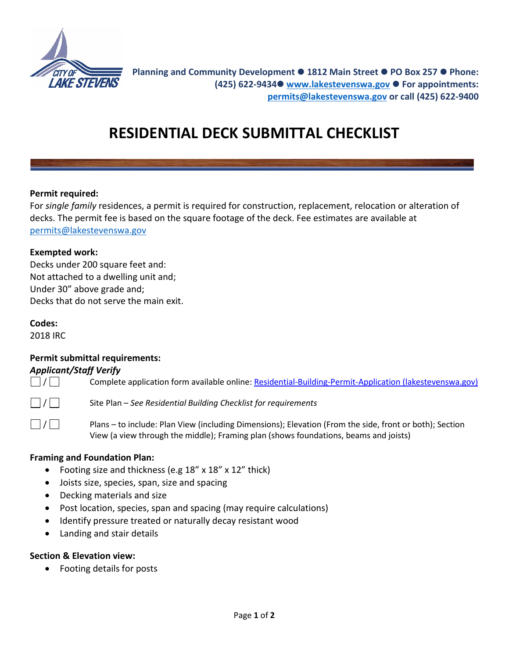

# **RESIDENTIAL DECK SUBMITTAL CHECKLIST**

### **Permit required:**

For *single family* residences, a permit is required for construction, replacement, relocation or alteration of decks. The permit fee is based on the square footage of the deck. Fee estimates are available at [permits@lakestevenswa.gov](mailto:permits@lakestevenswa.gov)

### **Exempted work:**

Decks under 200 square feet and: Not attached to a dwelling unit and; Under 30" above grade and; Decks that do not serve the main exit.

## **Codes:**

2018 IRC

## **Permit submittal requirements:**

## *Applicant/Staff Verify*

Complete application form available online[: Residential-Building-Permit-Application \(lakestevenswa.gov\)](https://www.lakestevenswa.gov/DocumentCenter/View/1763/Residential-Building-Permit-Application?bidId=)

/ Site Plan – *See Residential Building Checklist for requirements*

 $\Box / \Box$  Plans – to include: Plan View (including Dimensions); Elevation (From the side, front or both); Section View (a view through the middle); Framing plan (shows foundations, beams and joists)

#### **Framing and Foundation Plan:**

- Footing size and thickness (e.g 18" x 18" x 12" thick)
- Joists size, species, span, size and spacing
- Decking materials and size
- Post location, species, span and spacing (may require calculations)
- Identify pressure treated or naturally decay resistant wood
- Landing and stair details

## **Section & Elevation view:**

• Footing details for posts